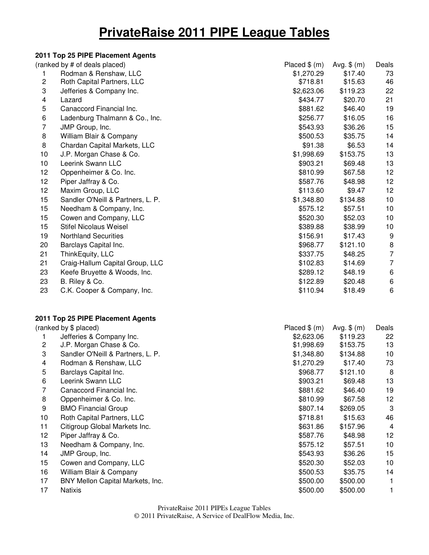## **PrivateRaise 2011 PIPE League Tables**

|                         | 2011 Top 25 PIPE Placement Agents |                |              |                |
|-------------------------|-----------------------------------|----------------|--------------|----------------|
|                         | (ranked by # of deals placed)     | Placed $$$ (m) | Avg. $$$ (m) | Deals          |
| 1                       | Rodman & Renshaw, LLC             | \$1,270.29     | \$17.40      | 73             |
| $\overline{\mathbf{c}}$ | Roth Capital Partners, LLC        | \$718.81       | \$15.63      | 46             |
| 3                       | Jefferies & Company Inc.          | \$2,623.06     | \$119.23     | 22             |
| 4                       | Lazard                            | \$434.77       | \$20.70      | 21             |
| 5                       | Canaccord Financial Inc.          | \$881.62       | \$46.40      | 19             |
| 6                       | Ladenburg Thalmann & Co., Inc.    | \$256.77       | \$16.05      | 16             |
| $\overline{7}$          | JMP Group, Inc.                   | \$543.93       | \$36.26      | 15             |
| 8                       | William Blair & Company           | \$500.53       | \$35.75      | 14             |
| 8                       | Chardan Capital Markets, LLC      | \$91.38        | \$6.53       | 14             |
| 10                      | J.P. Morgan Chase & Co.           | \$1,998.69     | \$153.75     | 13             |
| 10                      | Leerink Swann LLC                 | \$903.21       | \$69.48      | 13             |
| 12                      | Oppenheimer & Co. Inc.            | \$810.99       | \$67.58      | 12             |
| 12                      | Piper Jaffray & Co.               | \$587.76       | \$48.98      | 12             |
| 12                      | Maxim Group, LLC                  | \$113.60       | \$9.47       | 12             |
| 15                      | Sandler O'Neill & Partners, L. P. | \$1,348.80     | \$134.88     | 10             |
| 15                      | Needham & Company, Inc.           | \$575.12       | \$57.51      | 10             |
| 15                      | Cowen and Company, LLC            | \$520.30       | \$52.03      | 10             |
| 15                      | <b>Stifel Nicolaus Weisel</b>     | \$389.88       | \$38.99      | 10             |
| 19                      | <b>Northland Securities</b>       | \$156.91       | \$17.43      | 9              |
| 20                      | Barclays Capital Inc.             | \$968.77       | \$121.10     | 8              |
| 21                      | ThinkEquity, LLC                  | \$337.75       | \$48.25      | $\overline{7}$ |
| 21                      | Craig-Hallum Capital Group, LLC   | \$102.83       | \$14.69      | $\overline{7}$ |
| 23                      | Keefe Bruyette & Woods, Inc.      | \$289.12       | \$48.19      | 6              |
| 23                      | B. Riley & Co.                    | \$122.89       | \$20.48      | 6              |
| 23                      | C.K. Cooper & Company, Inc.       | \$110.94       | \$18.49      | 6              |
|                         | 2011 Top 25 PIPE Placement Agents |                |              |                |
|                         | (ranked by \$ placed)             | Placed $$$ (m) | Avg. $$$ (m) | Deals          |
| 1                       | Jefferies & Company Inc.          | \$2,623.06     | \$119.23     | 22             |
| $\overline{\mathbf{c}}$ | J.P. Morgan Chase & Co.           | \$1,998.69     | \$153.75     | 13             |
| 3                       | Sandler O'Neill & Partners, L. P. | \$1,348.80     | \$134.88     | 10             |
| 4                       | Rodman & Renshaw, LLC             | \$1,270.29     | \$17.40      | 73             |
| 5                       | Barclays Capital Inc.             | \$968.77       | \$121.10     | 8              |
| 6                       | Leerink Swann LLC                 | \$903.21       | \$69.48      | 13             |
| 7                       | Canaccord Financial Inc.          | \$881.62       | \$46.40      | 19             |
| 8                       | Oppenheimer & Co. Inc.            | \$810.99       | \$67.58      | 12             |
| 9                       | <b>BMO Financial Group</b>        | \$807.14       | \$269.05     | 3              |
| 10                      | Roth Capital Partners, LLC        | \$718.81       | \$15.63      | 46             |
| 11                      | Citigroup Global Markets Inc.     | \$631.86       | \$157.96     | 4              |
| 12                      | Piper Jaffray & Co.               | \$587.76       | \$48.98      | 12             |
| 13                      | Needham & Company, Inc.           | \$575.12       | \$57.51      | 10             |
| 14                      | JMP Group, Inc.                   | \$543.93       | \$36.26      | 15             |
| 15                      | Cowen and Company, LLC            | \$520.30       | \$52.03      | 10             |
| 16                      | William Blair & Company           | \$500.53       | \$35.75      | 14             |
| 17                      | BNY Mellon Capital Markets, Inc.  | \$500.00       | \$500.00     | 1              |
| 17                      | Natixis                           | \$500.00       | \$500.00     | 1              |

PrivateRaise 2011 PIPEs League Tables

© 2011 PrivateRaise, A Service of DealFlow Media, Inc.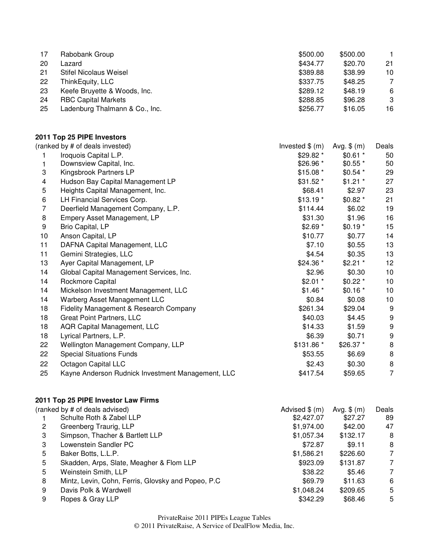| 17 | Rabobank Group                 | \$500.00 | \$500.00 |    |
|----|--------------------------------|----------|----------|----|
| 20 | Lazard                         | \$434.77 | \$20.70  | 21 |
| 21 | Stifel Nicolaus Weisel         | \$389.88 | \$38.99  | 10 |
| 22 | ThinkEquity, LLC               | \$337.75 | \$48.25  |    |
| 23 | Keefe Bruyette & Woods, Inc.   | \$289.12 | \$48.19  | 6  |
| 24 | <b>RBC Capital Markets</b>     | \$288.85 | \$96.28  | 3  |
| 25 | Ladenburg Thalmann & Co., Inc. | \$256.77 | \$16.05  | 16 |

## **2011 Top 25 PIPE Investors**

|    | (ranked by # of deals invested)                   | Invested $$ (m)$ | Avg. $$ (m)$ | Deals            |
|----|---------------------------------------------------|------------------|--------------|------------------|
|    | Iroquois Capital L.P.                             | \$29.82 *        | $$0.61*$     | 50               |
| 1  | Downsview Capital, Inc.                           | $$26.96*$        | $$0.55*$     | 50               |
| 3  | Kingsbrook Partners LP                            | $$15.08$ *       | $$0.54*$     | 29               |
| 4  | Hudson Bay Capital Management LP                  | $$31.52$ $*$     | $$1.21$ *    | 27               |
| 5  | Heights Capital Management, Inc.                  | \$68.41          | \$2.97       | 23               |
| 6  | LH Financial Services Corp.                       | $$13.19*$        | $$0.82*$     | 21               |
| 7  | Deerfield Management Company, L.P.                | \$114.44         | \$6.02       | 19               |
| 8  | Empery Asset Management, LP                       | \$31.30          | \$1.96       | 16               |
| 9  | Brio Capital, LP                                  | $$2.69$ *        | $$0.19*$     | 15               |
| 10 | Anson Capital, LP                                 | \$10.77          | \$0.77       | 14               |
| 11 | DAFNA Capital Management, LLC                     | \$7.10           | \$0.55       | 13               |
| 11 | Gemini Strategies, LLC                            | \$4.54           | \$0.35       | 13               |
| 13 | Ayer Capital Management, LP                       | $$24.36*$        | $$2.21$ *    | 12               |
| 14 | Global Capital Management Services, Inc.          | \$2.96           | \$0.30       | 10               |
| 14 | Rockmore Capital                                  | $$2.01*$         | $$0.22$ *    | 10               |
| 14 | Mickelson Investment Management, LLC              | $$1.46*$         | $$0.16*$     | 10               |
| 14 | Warberg Asset Management LLC                      | \$0.84           | \$0.08       | 10               |
| 18 | <b>Fidelity Management &amp; Research Company</b> | \$261.34         | \$29.04      | 9                |
| 18 | <b>Great Point Partners, LLC</b>                  | \$40.03          | \$4.45       | 9                |
| 18 | AQR Capital Management, LLC                       | \$14.33          | \$1.59       | $\boldsymbol{9}$ |
| 18 | Lyrical Partners, L.P.                            | \$6.39           | \$0.71       | $\boldsymbol{9}$ |
| 22 | Wellington Management Company, LLP                | $$131.86$ *      | $$26.37*$    | 8                |
| 22 | <b>Special Situations Funds</b>                   | \$53.55          | \$6.69       | 8                |
| 22 | Octagon Capital LLC                               | \$2.43           | \$0.30       | 8                |
| 25 | Kayne Anderson Rudnick Investment Management, LLC | \$417.54         | \$59.65      | $\overline{7}$   |

## **2011 Top 25 PIPE Investor Law Firms**

|   | (ranked by # of deals advised)                      | Advised $$ (m)$ | Avg. $$$ (m) | Deals |
|---|-----------------------------------------------------|-----------------|--------------|-------|
|   | Schulte Roth & Zabel LLP                            | \$2,427.07      | \$27.27      | 89    |
| 2 | Greenberg Traurig, LLP                              | \$1,974.00      | \$42.00      | 47    |
| 3 | Simpson, Thacher & Bartlett LLP                     | \$1,057.34      | \$132.17     | 8     |
| 3 | Lowenstein Sandler PC                               | \$72.87         | \$9.11       | 8     |
| 5 | Baker Botts, L.L.P.                                 | \$1,586.21      | \$226.60     | 7     |
| 5 | Skadden, Arps, Slate, Meagher & Flom LLP            | \$923.09        | \$131.87     | 7     |
| 5 | Weinstein Smith, LLP                                | \$38.22         | \$5.46       | 7     |
| 8 | Mintz, Levin, Cohn, Ferris, Glovsky and Popeo, P.C. | \$69.79         | \$11.63      | 6     |
| 9 | Davis Polk & Wardwell                               | \$1,048.24      | \$209.65     | 5     |
| 9 | Ropes & Gray LLP                                    | \$342.29        | \$68.46      | 5     |

PrivateRaise 2011 PIPEs League Tables

© 2011 PrivateRaise, A Service of DealFlow Media, Inc.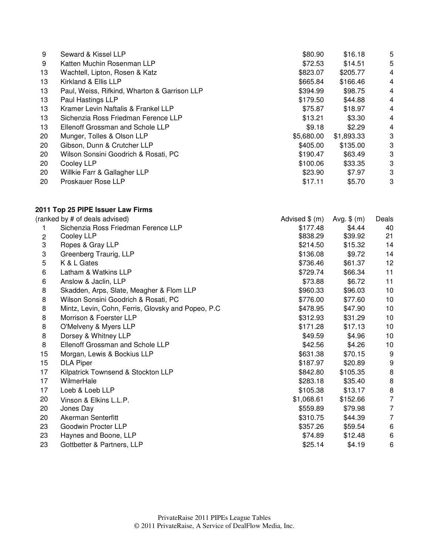| 9  | Seward & Kissel LLP                          | \$80.90    | \$16.18    | 5 |
|----|----------------------------------------------|------------|------------|---|
| 9  | Katten Muchin Rosenman LLP                   | \$72.53    | \$14.51    | 5 |
| 13 | Wachtell, Lipton, Rosen & Katz               | \$823.07   | \$205.77   | 4 |
| 13 | Kirkland & Ellis LLP                         | \$665.84   | \$166.46   | 4 |
| 13 | Paul, Weiss, Rifkind, Wharton & Garrison LLP | \$394.99   | \$98.75    | 4 |
| 13 | Paul Hastings LLP                            | \$179.50   | \$44.88    | 4 |
| 13 | Kramer Levin Naftalis & Frankel LLP          | \$75.87    | \$18.97    | 4 |
| 13 | Sichenzia Ross Friedman Ference LLP          | \$13.21    | \$3.30     | 4 |
| 13 | Ellenoff Grossman and Schole LLP             | \$9.18     | \$2.29     | 4 |
| 20 | Munger, Tolles & Olson LLP                   | \$5,680.00 | \$1,893.33 | 3 |
| 20 | Gibson, Dunn & Crutcher LLP                  | \$405.00   | \$135.00   | 3 |
| 20 | Wilson Sonsini Goodrich & Rosati, PC         | \$190.47   | \$63.49    | 3 |
| 20 | Cooley LLP                                   | \$100.06   | \$33.35    | 3 |
| 20 | Willkie Farr & Gallagher LLP                 | \$23.90    | \$7.97     | 3 |
| 20 | Proskauer Rose LLP                           | \$17.11    | \$5.70     | 3 |

## **2011 Top 25 PIPE Issuer Law Firms**

|    | (ranked by # of deals advised)                      | Advised $$$ (m) | Avg. $$$ (m) | Deals |
|----|-----------------------------------------------------|-----------------|--------------|-------|
|    | Sichenzia Ross Friedman Ference LLP                 | \$177.48        | \$4.44       | 40    |
| 2  | Cooley LLP                                          | \$838.29        | \$39.92      | 21    |
| 3  | Ropes & Gray LLP                                    | \$214.50        | \$15.32      | 14    |
| 3  | Greenberg Traurig, LLP                              | \$136.08        | \$9.72       | 14    |
| 5  | K & L Gates                                         | \$736.46        | \$61.37      | 12    |
| 6  | Latham & Watkins LLP                                | \$729.74        | \$66.34      | 11    |
| 6  | Anslow & Jaclin, LLP                                | \$73.88         | \$6.72       | 11    |
| 8  | Skadden, Arps, Slate, Meagher & Flom LLP            | \$960.33        | \$96.03      | 10    |
| 8  | Wilson Sonsini Goodrich & Rosati, PC                | \$776.00        | \$77.60      | 10    |
| 8  | Mintz, Levin, Cohn, Ferris, Glovsky and Popeo, P.C. | \$478.95        | \$47.90      | 10    |
| 8  | Morrison & Foerster LLP                             | \$312.93        | \$31.29      | 10    |
| 8  | O'Melveny & Myers LLP                               | \$171.28        | \$17.13      | 10    |
| 8  | Dorsey & Whitney LLP                                | \$49.59         | \$4.96       | 10    |
| 8  | Ellenoff Grossman and Schole LLP                    | \$42.56         | \$4.26       | 10    |
| 15 | Morgan, Lewis & Bockius LLP                         | \$631.38        | \$70.15      | 9     |
| 15 | <b>DLA Piper</b>                                    | \$187.97        | \$20.89      | 9     |
| 17 | Kilpatrick Townsend & Stockton LLP                  | \$842.80        | \$105.35     | 8     |
| 17 | WilmerHale                                          | \$283.18        | \$35.40      | 8     |
| 17 | Loeb & Loeb LLP                                     | \$105.38        | \$13.17      | 8     |
| 20 | Vinson & Elkins L.L.P.                              | \$1,068.61      | \$152.66     | 7     |
| 20 | Jones Day                                           | \$559.89        | \$79.98      | 7     |
| 20 | Akerman Senterfitt                                  | \$310.75        | \$44.39      | 7     |
| 23 | Goodwin Procter LLP                                 | \$357.26        | \$59.54      | 6     |
| 23 | Haynes and Boone, LLP                               | \$74.89         | \$12.48      | 6     |
| 23 | Gottbetter & Partners, LLP                          | \$25.14         | \$4.19       | 6     |
|    |                                                     |                 |              |       |